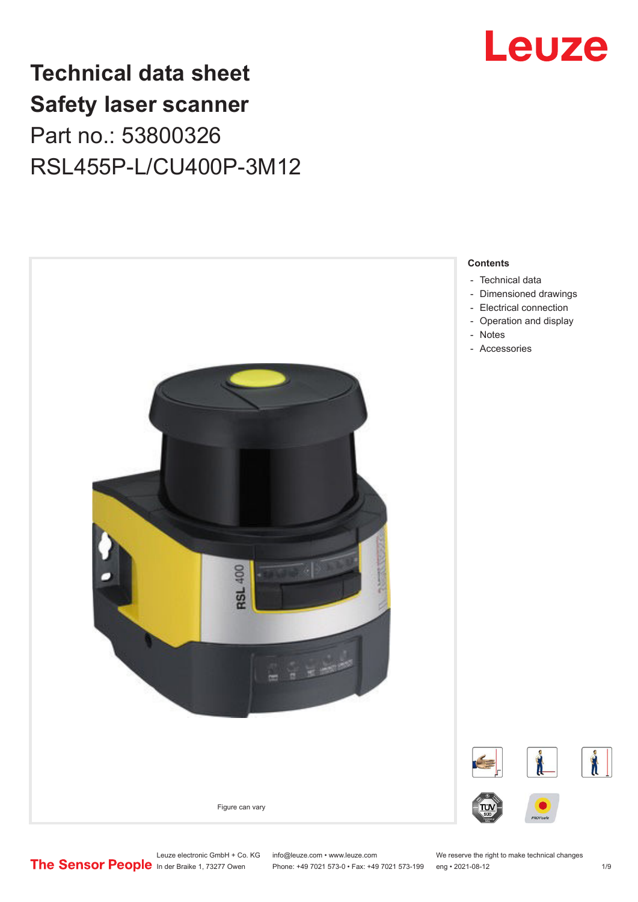

## **Technical data sheet Safety laser scanner** Part no.: 53800326 RSL455P-L/CU400P-3M12



- [Technical data](#page-1-0)
- [Dimensioned drawings](#page-3-0)
- [Electrical connection](#page-4-0)
- [Operation and display](#page-5-0)
- [Notes](#page-6-0)
- Accessories

Phone: +49 7021 573-0 • Fax: +49 7021 573-199 eng • 2021-08-12

Leuze electronic GmbH + Co. KG info@leuze.com • www.leuze.com We reserve the right to make technical changes<br>
The Sensor People in der Braike 1, 73277 Owen Phone: +49 7021 573-0 • Fax: +49 7021 573-199 eng • 2021-08-12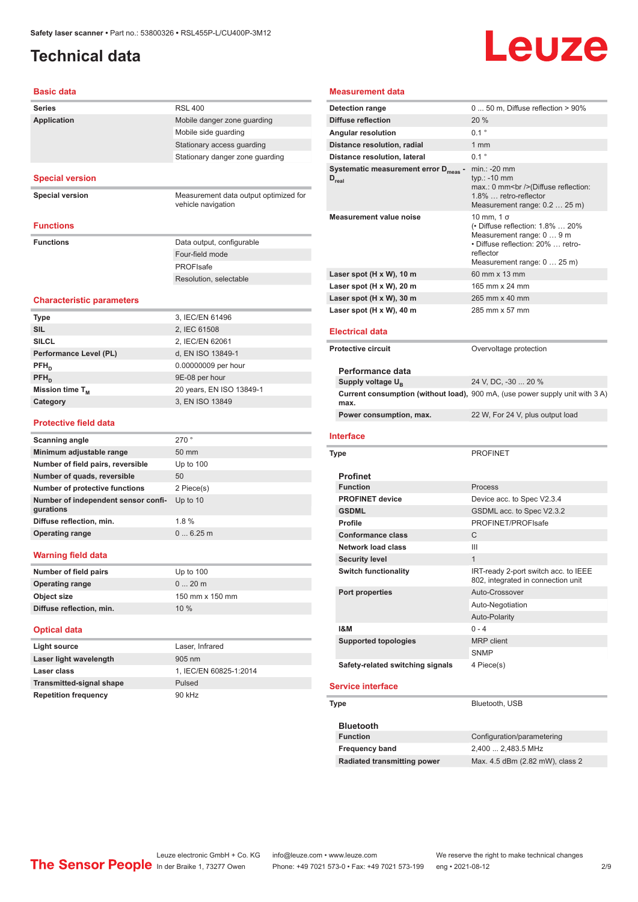## <span id="page-1-0"></span>**Technical data**

# **Leuze**

### **Basic data**

| <b>Basic data</b>                                |                                                             |
|--------------------------------------------------|-------------------------------------------------------------|
| <b>Series</b>                                    | <b>RSL 400</b>                                              |
| <b>Application</b>                               | Mobile danger zone guarding                                 |
|                                                  | Mobile side guarding                                        |
|                                                  | Stationary access guarding                                  |
|                                                  | Stationary danger zone guarding                             |
| <b>Special version</b>                           |                                                             |
| <b>Special version</b>                           | Measurement data output optimized for<br>vehicle navigation |
| <b>Functions</b>                                 |                                                             |
| <b>Functions</b>                                 | Data output, configurable                                   |
|                                                  | Four-field mode                                             |
|                                                  | <b>PROFIsafe</b>                                            |
|                                                  | Resolution, selectable                                      |
|                                                  |                                                             |
| <b>Characteristic parameters</b>                 |                                                             |
| Type                                             | 3, IEC/EN 61496                                             |
| <b>SIL</b>                                       | 2, IEC 61508                                                |
| SILCL                                            | 2, IEC/EN 62061                                             |
| Performance Level (PL)                           | d, EN ISO 13849-1                                           |
| $\mathsf{PFH}_{\mathsf{n}}$                      | 0.00000009 per hour                                         |
| PFH <sub>D</sub>                                 | 9E-08 per hour                                              |
| Mission time T <sub>M</sub>                      | 20 years, EN ISO 13849-1                                    |
| Category                                         | 3, EN ISO 13849                                             |
| <b>Protective field data</b>                     |                                                             |
| <b>Scanning angle</b>                            | 270°                                                        |
| Minimum adjustable range                         | 50 mm                                                       |
| Number of field pairs, reversible                | Up to $100$                                                 |
| Number of quads, reversible                      | 50                                                          |
| Number of protective functions                   | 2 Piece(s)                                                  |
| Number of independent sensor confi-<br>gurations | Up to 10                                                    |
| Diffuse reflection, min.                         | 1.8%                                                        |
| <b>Operating range</b>                           | 06.25m                                                      |
| Warning field data                               |                                                             |
| Number of field pairs                            | Up to 100                                                   |
| <b>Operating range</b>                           | 020m                                                        |
| Object size                                      | 150 mm x 150 mm                                             |
| Diffuse reflection, min.                         | 10 %                                                        |
| <b>Optical data</b>                              |                                                             |
| <b>Light source</b>                              | Laser, Infrared                                             |
| Laser light wavelength                           | 905 nm                                                      |
| Laser class                                      | 1, IEC/EN 60825-1:2014                                      |
| <b>Transmitted-signal shape</b>                  | Pulsed                                                      |

#### **Measurement data**

| <b>Detection range</b>                           | 0  50 m, Diffuse reflection > 90%                                                                                                                                    |
|--------------------------------------------------|----------------------------------------------------------------------------------------------------------------------------------------------------------------------|
| <b>Diffuse reflection</b>                        | 20 %                                                                                                                                                                 |
| Angular resolution                               | $0.1$ $^{\circ}$                                                                                                                                                     |
| Distance resolution, radial                      | $1 \text{ mm}$                                                                                                                                                       |
| <b>Distance resolution, lateral</b>              | $0.1$ $^{\circ}$                                                                                                                                                     |
| Systematic measurement error D <sub>meas</sub> - | $min.: -20$ mm                                                                                                                                                       |
| $D_{\text{real}}$                                | typ.: -10 mm<br>max.: 0 mm<br>>>>>> (Diffuse reflection:<br>1.8%  retro-reflector<br>Measurement range: 0.2  25 m)                                                   |
| <b>Measurement value noise</b>                   | $10$ mm, $1\sigma$<br>(• Diffuse reflection: 1.8%  20%<br>Measurement range: 0  9 m<br>• Diffuse reflection: 20%  retro-<br>reflector<br>Measurement range: 0  25 m) |
| Laser spot (H x W), 10 m                         | 60 mm x 13 mm                                                                                                                                                        |
| Laser spot (H x W), 20 m                         | 165 mm x 24 mm                                                                                                                                                       |
| Laser spot (H x W), 30 m                         | 265 mm x 40 mm                                                                                                                                                       |
| Laser spot (H x W), 40 m                         | 285 mm x 57 mm                                                                                                                                                       |
|                                                  |                                                                                                                                                                      |
| <b>Electrical data</b>                           |                                                                                                                                                                      |
| <b>Protective circuit</b>                        | Overvoltage protection                                                                                                                                               |
|                                                  |                                                                                                                                                                      |
| Performance data                                 |                                                                                                                                                                      |
| Supply voltage U <sub>B</sub>                    | 24 V, DC, -30  20 %                                                                                                                                                  |
|                                                  | Current consumption (without load), 900 mA, (use power supply unit with 3 A)                                                                                         |
| max.                                             |                                                                                                                                                                      |
| Power consumption, max.                          | 22 W, For 24 V, plus output load                                                                                                                                     |
|                                                  |                                                                                                                                                                      |
| <b>Interface</b>                                 |                                                                                                                                                                      |
| Type                                             | <b>PROFINET</b>                                                                                                                                                      |
|                                                  |                                                                                                                                                                      |
| <b>Profinet</b><br><b>Function</b>               | Process                                                                                                                                                              |
| <b>PROFINET device</b>                           | Device acc. to Spec V2.3.4                                                                                                                                           |
|                                                  |                                                                                                                                                                      |
| <b>GSDML</b>                                     | GSDML acc. to Spec V2.3.2                                                                                                                                            |
| <b>Profile</b>                                   | PROFINET/PROFIsafe                                                                                                                                                   |
| <b>Conformance class</b>                         | C                                                                                                                                                                    |
| <b>Network load class</b>                        | Ш                                                                                                                                                                    |
| <b>Security level</b>                            | $\mathbf{1}$                                                                                                                                                         |
| <b>Switch functionality</b>                      | IRT-ready 2-port switch acc. to IEEE<br>802, integrated in connection unit                                                                                           |
| <b>Port properties</b>                           | Auto-Crossover                                                                                                                                                       |
|                                                  | Auto-Negotiation                                                                                                                                                     |
|                                                  | Auto-Polarity                                                                                                                                                        |
| <b>1&amp;M</b>                                   | $0 - 4$                                                                                                                                                              |
| <b>Supported topologies</b>                      | <b>MRP</b> client                                                                                                                                                    |
|                                                  | SNMP                                                                                                                                                                 |
| Safety-related switching signals                 | 4 Piece(s)                                                                                                                                                           |
|                                                  |                                                                                                                                                                      |
| <b>Service interface</b>                         |                                                                                                                                                                      |
|                                                  |                                                                                                                                                                      |

| <b>Bluetooth</b>            |                                 |
|-----------------------------|---------------------------------|
| <b>Function</b>             | Configuration/parametering      |
| <b>Frequency band</b>       | 2,400  2,483.5 MHz              |
| Radiated transmitting power | Max. 4.5 dBm (2.82 mW), class 2 |

**Repetition frequency** 90 kHz

Leuze electronic GmbH + Co. KG info@leuze.com • www.leuze.com We reserve the right to make technical changes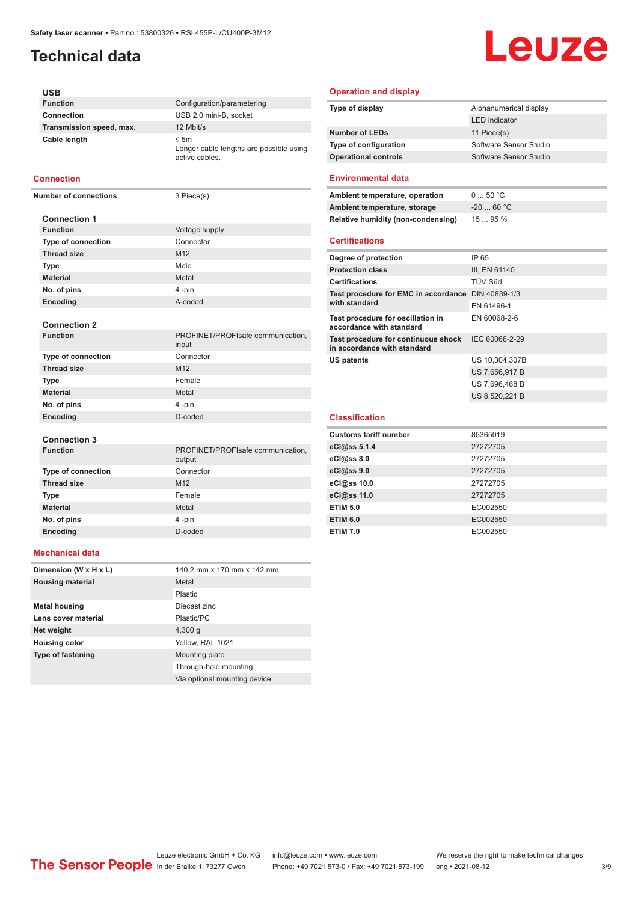## **Technical data**

## Leuze

#### **USB**

| <b>Function</b>          | Configuration/parametering                                             |
|--------------------------|------------------------------------------------------------------------|
| Connection               | USB 2.0 mini-B, socket                                                 |
| Transmission speed, max. | 12 Mbit/s                                                              |
| Cable length             | $\leq$ 5m<br>Longer cable lengths are possible using<br>active cables. |

#### **Connection**

**Number of connections** 3 Piece(s)

| <b>Connection 1</b>       |                 |
|---------------------------|-----------------|
| <b>Function</b>           | Voltage supply  |
| <b>Type of connection</b> | Connector       |
| <b>Thread size</b>        | M <sub>12</sub> |
| <b>Type</b>               | Male            |
| <b>Material</b>           | Metal           |
| No. of pins               | 4-pin           |
| <b>Encoding</b>           | A-coded         |

**Connection 2**

| <b>Connection 2</b>       |                                            |
|---------------------------|--------------------------------------------|
| <b>Function</b>           | PROFINET/PROFIsafe communication,<br>input |
| <b>Type of connection</b> | Connector                                  |
| <b>Thread size</b>        | M <sub>12</sub>                            |
| <b>Type</b>               | Female                                     |
| <b>Material</b>           | Metal                                      |
| No. of pins               | 4-pin                                      |
| Encoding                  | D-coded                                    |
|                           |                                            |

#### **Connection 3**

| <b>Function</b>           | PROFINET/PROFIsafe communication,<br>output |
|---------------------------|---------------------------------------------|
| <b>Type of connection</b> | Connector                                   |
| <b>Thread size</b>        | M <sub>12</sub>                             |
| <b>Type</b>               | Female                                      |
| <b>Material</b>           | Metal                                       |
| No. of pins               | 4-pin                                       |
| Encoding                  | D-coded                                     |
|                           |                                             |

#### **Mechanical data**

| Dimension (W x H x L)    | 140.2 mm x 170 mm x 142 mm   |
|--------------------------|------------------------------|
| <b>Housing material</b>  | Metal                        |
|                          | Plastic                      |
| <b>Metal housing</b>     | Diecast zinc                 |
| Lens cover material      | Plastic/PC                   |
| Net weight               | 4,300q                       |
| <b>Housing color</b>     | Yellow, RAL 1021             |
| <b>Type of fastening</b> | Mounting plate               |
|                          | Through-hole mounting        |
|                          | Via optional mounting device |

#### **Operation and display**

| Type of display             | Alphanumerical display |
|-----------------------------|------------------------|
|                             | <b>LED</b> indicator   |
| <b>Number of LEDs</b>       | 11 Piece(s)            |
| Type of configuration       | Software Sensor Studio |
| <b>Operational controls</b> | Software Sensor Studio |
|                             |                        |

#### **Environmental data**

| Ambient temperature, operation                                     | 050 °C         |
|--------------------------------------------------------------------|----------------|
| Ambient temperature, storage                                       | $-20$ 60 °C    |
| Relative humidity (non-condensing)                                 | $1595\%$       |
| <b>Certifications</b>                                              |                |
| Degree of protection                                               | IP 65          |
| <b>Protection class</b>                                            | III, EN 61140  |
| <b>Certifications</b>                                              | TÜV Süd        |
| Test procedure for EMC in accordance<br>with standard              | DIN 40839-1/3  |
|                                                                    | EN 61496-1     |
| Test procedure for oscillation in<br>accordance with standard      | EN 60068-2-6   |
| Test procedure for continuous shock<br>in accordance with standard | IEC 60068-2-29 |

US 7,656,917 B US 7,696,468 B US 8,520,221 B

**US patents** US 10,304,307B

## **Classification**

| 85365019 |
|----------|
| 27272705 |
| 27272705 |
| 27272705 |
| 27272705 |
| 27272705 |
| EC002550 |
| EC002550 |
| EC002550 |
|          |

Leuze electronic GmbH + Co. KG info@leuze.com • www.leuze.com We reserve the right to make technical changes<br>
The Sensor People in der Braike 1, 73277 Owen Phone: +49 7021 573-0 • Fax: +49 7021 573-199 eng • 2021-08-12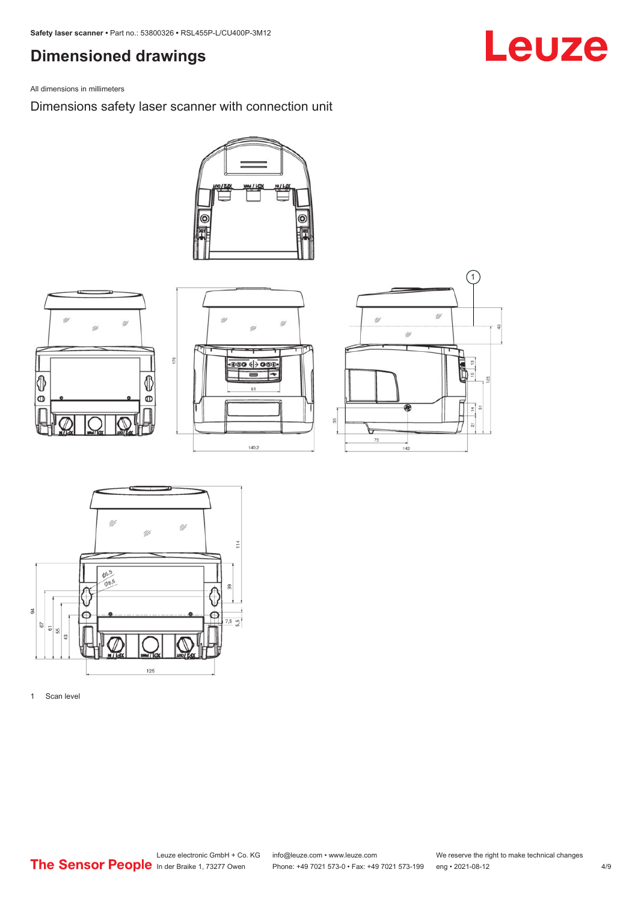## <span id="page-3-0"></span>**Dimensioned drawings**

All dimensions in millimeters

Dimensions safety laser scanner with connection unit











1 Scan level

## Leuze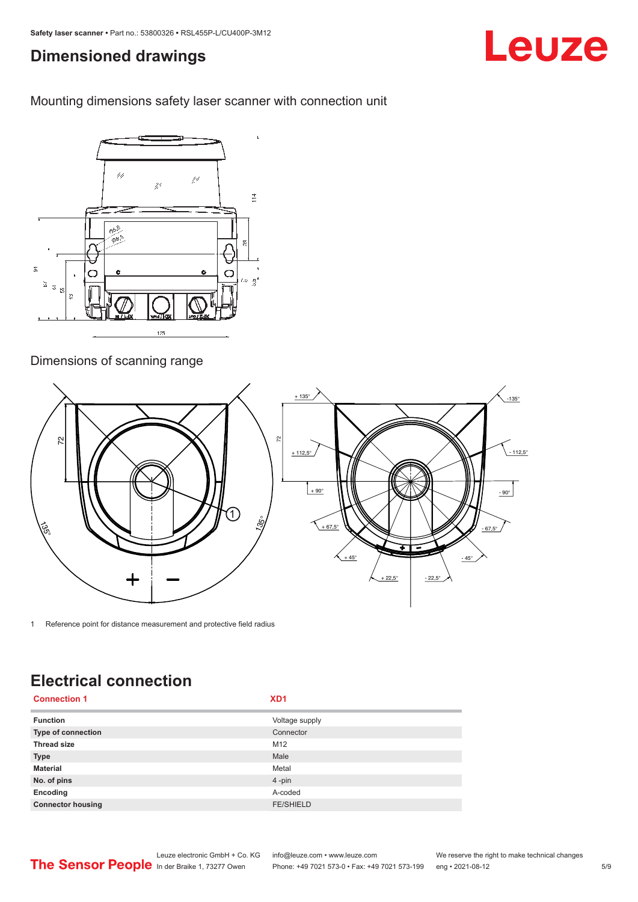### <span id="page-4-0"></span>**Dimensioned drawings**

Mounting dimensions safety laser scanner with connection unit



### Dimensions of scanning range



1 Reference point for distance measurement and protective field radius

## **Electrical connection**

| <b>Connection 1</b>       | XD <sub>1</sub>  |
|---------------------------|------------------|
| <b>Function</b>           | Voltage supply   |
| <b>Type of connection</b> | Connector        |
| <b>Thread size</b>        | M12              |
| <b>Type</b>               | Male             |
| <b>Material</b>           | Metal            |
| No. of pins               | $4$ -pin         |
| Encoding                  | A-coded          |
| <b>Connector housing</b>  | <b>FE/SHIELD</b> |



Phone: +49 7021 573-0 • Fax: +49 7021 573-199 eng • 2021-08-12

## Leuze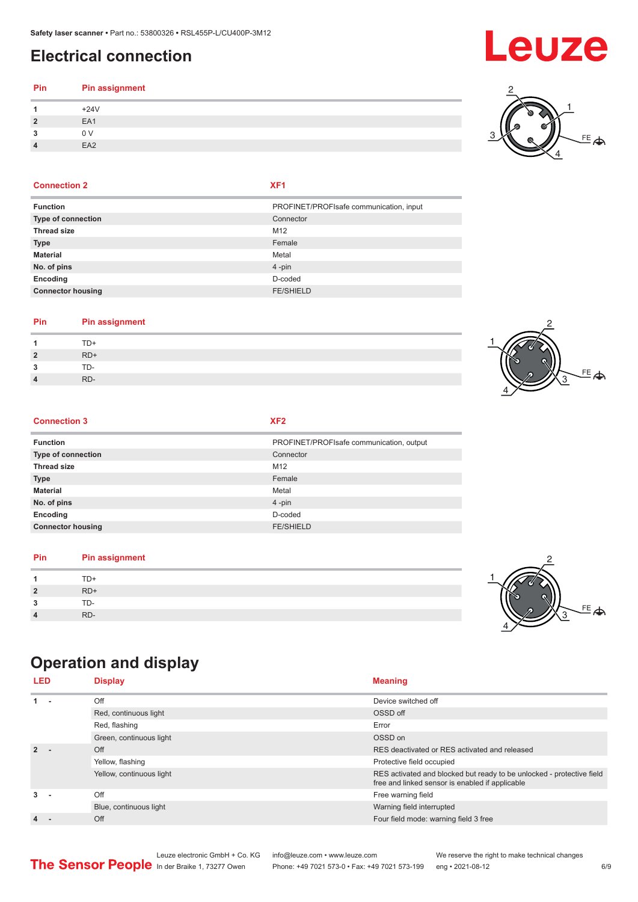## <span id="page-5-0"></span>**Electrical connection**

#### **Pin Pin assignment 1** +24V **2** EA1 **3** 0 V

#### **Connection 2 XF1**

**4** EA2

| <b>Function</b>           | PROFINET/PROFIsafe communication, input |
|---------------------------|-----------------------------------------|
| <b>Type of connection</b> | Connector                               |
| <b>Thread size</b>        | M <sub>12</sub>                         |
| <b>Type</b>               | Female                                  |
| <b>Material</b>           | Metal                                   |
| No. of pins               | 4-pin                                   |
| Encoding                  | D-coded                                 |
| <b>Connector housing</b>  | <b>FE/SHIELD</b>                        |
|                           |                                         |

#### **Pin Pin assignment**

|                |       | $\mathcal{L}$ |
|----------------|-------|---------------|
| -1             | TD+   |               |
| $\overline{2}$ | $RD+$ |               |
| 3              | TD-   |               |
| 4              | RD-   |               |
|                |       |               |

#### **Connection 3 XF2**

| <b>Function</b>          | PROFINET/PROFIsafe communication, output |
|--------------------------|------------------------------------------|
| Type of connection       | Connector                                |
| <b>Thread size</b>       | M <sub>12</sub>                          |
| <b>Type</b>              | Female                                   |
| <b>Material</b>          | Metal                                    |
| No. of pins              | $4$ -pin                                 |
| Encoding                 | D-coded                                  |
| <b>Connector housing</b> | <b>FE/SHIELD</b>                         |

#### **Pin Pin assignment**

|                | TD+ |  |
|----------------|-----|--|
| $\overline{2}$ | RD+ |  |
| ໍາ<br>۰J       | TD- |  |
| 4              | RD- |  |

## **Operation and display**

| <b>LED</b> | <b>Display</b>           | <b>Meaning</b>                                                                                                           |
|------------|--------------------------|--------------------------------------------------------------------------------------------------------------------------|
| $1 -$      | Off                      | Device switched off                                                                                                      |
|            | Red, continuous light    | OSSD off                                                                                                                 |
|            | Red, flashing            | Error                                                                                                                    |
|            | Green, continuous light  | OSSD on                                                                                                                  |
| $2 -$      | Off                      | RES deactivated or RES activated and released                                                                            |
|            | Yellow, flashing         | Protective field occupied                                                                                                |
|            | Yellow, continuous light | RES activated and blocked but ready to be unlocked - protective field<br>free and linked sensor is enabled if applicable |
| $3 -$      | Off                      | Free warning field                                                                                                       |
|            | Blue, continuous light   | Warning field interrupted                                                                                                |
| 4 -        | Off                      | Four field mode: warning field 3 free                                                                                    |







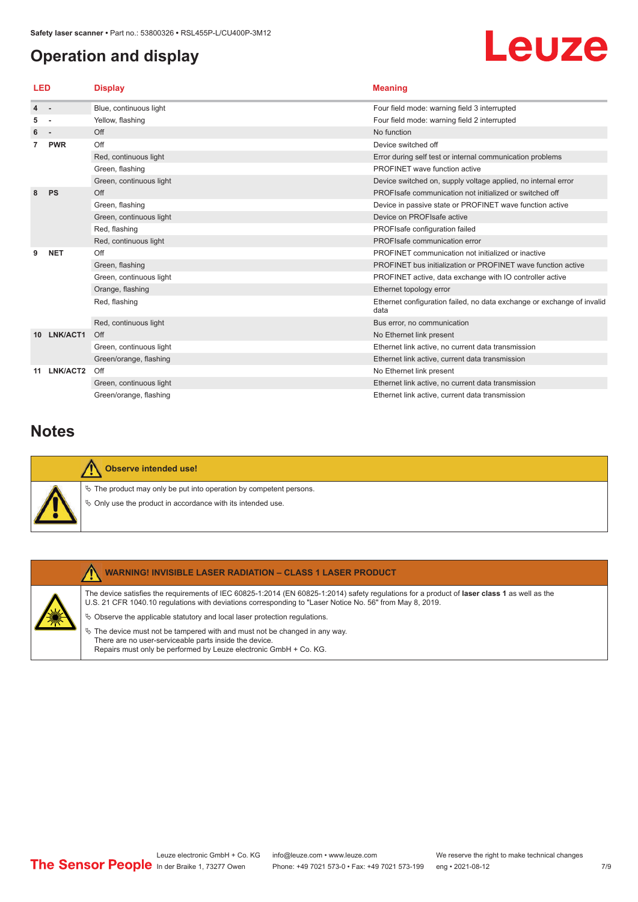## <span id="page-6-0"></span>**Operation and display**

# Leuze

| LED |            | <b>Display</b>          | <b>Meaning</b>                                                                 |
|-----|------------|-------------------------|--------------------------------------------------------------------------------|
| 4   | $\sim$     | Blue, continuous light  | Four field mode: warning field 3 interrupted                                   |
| 5   |            | Yellow, flashing        | Four field mode: warning field 2 interrupted                                   |
| 6   | $\sim$     | Off                     | No function                                                                    |
|     | <b>PWR</b> | Off                     | Device switched off                                                            |
|     |            | Red, continuous light   | Error during self test or internal communication problems                      |
|     |            | Green, flashing         | PROFINET wave function active                                                  |
|     |            | Green, continuous light | Device switched on, supply voltage applied, no internal error                  |
| 8   | <b>PS</b>  | Off                     | PROFIsafe communication not initialized or switched off                        |
|     |            | Green, flashing         | Device in passive state or PROFINET wave function active                       |
|     |            | Green, continuous light | Device on PROFIsafe active                                                     |
|     |            | Red, flashing           | PROFIsafe configuration failed                                                 |
|     |            | Red, continuous light   | PROFIsafe communication error                                                  |
|     | <b>NET</b> | Off                     | PROFINET communication not initialized or inactive                             |
|     |            | Green, flashing         | PROFINET bus initialization or PROFINET wave function active                   |
|     |            | Green, continuous light | PROFINET active, data exchange with IO controller active                       |
|     |            | Orange, flashing        | Ethernet topology error                                                        |
|     |            | Red, flashing           | Ethernet configuration failed, no data exchange or exchange of invalid<br>data |
|     |            | Red, continuous light   | Bus error, no communication                                                    |
| 10. | LNK/ACT1   | Off                     | No Ethernet link present                                                       |
|     |            | Green, continuous light | Ethernet link active, no current data transmission                             |
|     |            | Green/orange, flashing  | Ethernet link active, current data transmission                                |
| 11  | LNK/ACT2   | Off                     | No Ethernet link present                                                       |
|     |            | Green, continuous light | Ethernet link active, no current data transmission                             |
|     |            | Green/orange, flashing  | Ethernet link active, current data transmission                                |

### **Notes**

| <b>Observe intended use!</b>                                                                                                            |
|-----------------------------------------------------------------------------------------------------------------------------------------|
| $\&$ The product may only be put into operation by competent persons.<br>$\&$ Only use the product in accordance with its intended use. |

## **WARNING! INVISIBLE LASER RADIATION – CLASS 1 LASER PRODUCT**

The device satisfies the requirements of IEC 60825-1:2014 (EN 60825-1:2014) safety regulations for a product of **laser class 1** as well as the U.S. 21 CFR 1040.10 regulations with deviations corresponding to "Laser Notice No. 56" from May 8, 2019.

 $\ddot{\phi}$  Observe the applicable statutory and local laser protection regulations.

 $\%$  The device must not be tampered with and must not be changed in any way. There are no user-serviceable parts inside the device. Repairs must only be performed by Leuze electronic GmbH + Co. KG.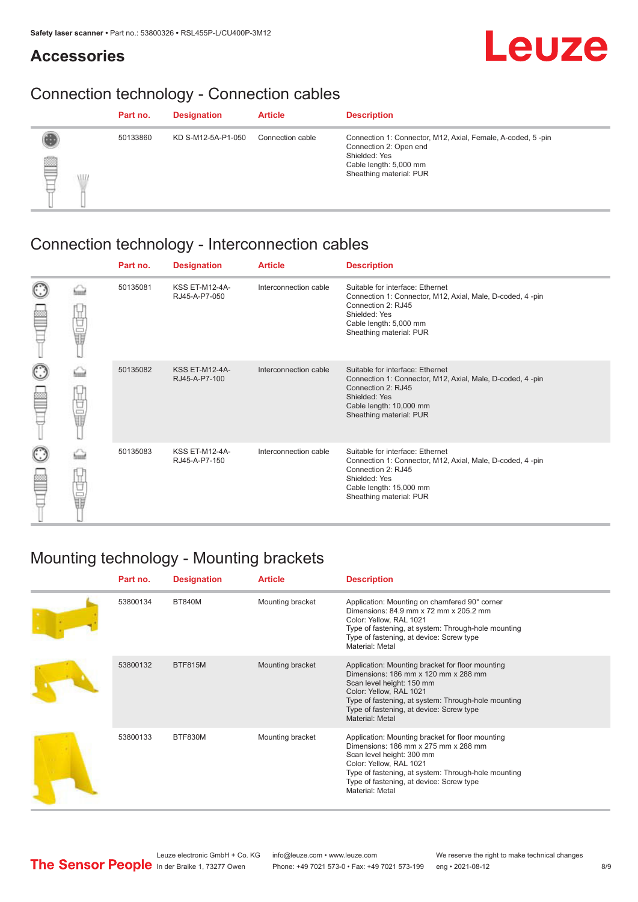### **Accessories**

## Leuze

## Connection technology - Connection cables

|          | Part no. | <b>Designation</b> | <b>Article</b>   | <b>Description</b>                                                                                                                                          |
|----------|----------|--------------------|------------------|-------------------------------------------------------------------------------------------------------------------------------------------------------------|
| §<br>\LL | 50133860 | KD S-M12-5A-P1-050 | Connection cable | Connection 1: Connector, M12, Axial, Female, A-coded, 5-pin<br>Connection 2: Open end<br>Shielded: Yes<br>Cable length: 5,000 mm<br>Sheathing material: PUR |

## Connection technology - Interconnection cables

|        |             | Part no. | <b>Designation</b>                     | <b>Article</b>        | <b>Description</b>                                                                                                                                                                         |
|--------|-------------|----------|----------------------------------------|-----------------------|--------------------------------------------------------------------------------------------------------------------------------------------------------------------------------------------|
| C      | Ù<br>U∏     | 50135081 | <b>KSS ET-M12-4A-</b><br>RJ45-A-P7-050 | Interconnection cable | Suitable for interface: Ethernet<br>Connection 1: Connector, M12, Axial, Male, D-coded, 4-pin<br>Connection 2: RJ45<br>Shielded: Yes<br>Cable length: 5,000 mm<br>Sheathing material: PUR  |
| O<br>Ê | 甘量          | 50135082 | <b>KSS ET-M12-4A-</b><br>RJ45-A-P7-100 | Interconnection cable | Suitable for interface: Ethernet<br>Connection 1: Connector, M12, Axial, Male, D-coded, 4-pin<br>Connection 2: RJ45<br>Shielded: Yes<br>Cable length: 10,000 mm<br>Sheathing material: PUR |
| C<br>Ê | Ù<br>U<br>U | 50135083 | <b>KSS ET-M12-4A-</b><br>RJ45-A-P7-150 | Interconnection cable | Suitable for interface: Ethernet<br>Connection 1: Connector, M12, Axial, Male, D-coded, 4-pin<br>Connection 2: RJ45<br>Shielded: Yes<br>Cable length: 15,000 mm<br>Sheathing material: PUR |

## Mounting technology - Mounting brackets

| Part no. | <b>Designation</b> | <b>Article</b>   | <b>Description</b>                                                                                                                                                                                                                                                     |
|----------|--------------------|------------------|------------------------------------------------------------------------------------------------------------------------------------------------------------------------------------------------------------------------------------------------------------------------|
| 53800134 | <b>BT840M</b>      | Mounting bracket | Application: Mounting on chamfered 90° corner<br>Dimensions: 84.9 mm x 72 mm x 205.2 mm<br>Color: Yellow, RAL 1021<br>Type of fastening, at system: Through-hole mounting<br>Type of fastening, at device: Screw type<br>Material: Metal                               |
| 53800132 | <b>BTF815M</b>     | Mounting bracket | Application: Mounting bracket for floor mounting<br>Dimensions: 186 mm x 120 mm x 288 mm<br>Scan level height: 150 mm<br>Color: Yellow, RAL 1021<br>Type of fastening, at system: Through-hole mounting<br>Type of fastening, at device: Screw type<br>Material: Metal |
| 53800133 | BTF830M            | Mounting bracket | Application: Mounting bracket for floor mounting<br>Dimensions: 186 mm x 275 mm x 288 mm<br>Scan level height: 300 mm<br>Color: Yellow, RAL 1021<br>Type of fastening, at system: Through-hole mounting<br>Type of fastening, at device: Screw type<br>Material: Metal |